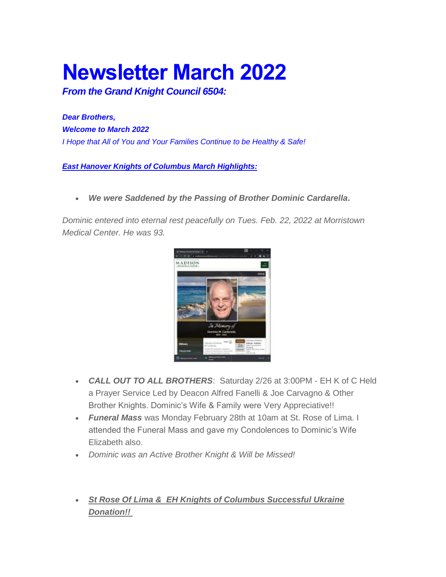# **Newsletter March 2022**

*From the Grand Knight Council 6504:*

*Dear Brothers, Welcome to March 2022 I Hope that All of You and Your Families Continue to be Healthy & Safe!*

*East Hanover Knights of Columbus March Highlights:*

*We were Saddened by the Passing of Brother Dominic Cardarella***.**

*Dominic entered into eternal rest peacefully on Tues. Feb. 22, 2022 at Morristown Medical Center. He was 93.*



- *CALL OUT TO ALL BROTHERS*: Saturday 2/26 at 3:00PM EH K of C Held a Prayer Service Led by Deacon Alfred Fanelli & Joe Carvagno & Other Brother Knights. Dominic's Wife & Family were Very Appreciative!!
- *Funeral Mass* was Monday February 28th at 10am at St. Rose of Lima. I attended the Funeral Mass and gave my Condolences to Dominic's Wife Elizabeth also.
- *Dominic was an Active Brother Knight & Will be Missed!*
- *St Rose Of Lima & EH Knights of Columbus Successful Ukraine Donation!!*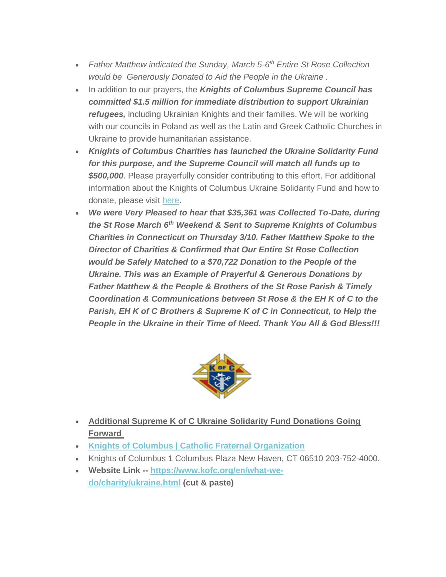- *Father Matthew indicated the Sunday, March 5-6 th Entire St Rose Collection would be Generously Donated to Aid the People in the Ukraine .*
- In addition to our prayers, the **Knights of Columbus Supreme Council has** *committed \$1.5 million for immediate distribution to support Ukrainian refugees,* including Ukrainian Knights and their families. We will be working with our councils in Poland as well as the Latin and Greek Catholic Churches in Ukraine to provide humanitarian assistance.
- *Knights of Columbus Charities has launched the Ukraine Solidarity Fund for this purpose, and the Supreme Council will match all funds up to \$500,000*. Please prayerfully consider contributing to this effort. For additional information about the Knights of Columbus Ukraine Solidarity Fund and how to donate, please visit [here.](https://kofc6504.us11.list-manage.com/track/click?u=95aa9839393aff6e6ea6837aa&id=e5867d2859&e=a2df17c07b)
- *We were Very Pleased to hear that \$35,361 was Collected To-Date, during the St Rose March 6th Weekend & Sent to Supreme Knights of Columbus Charities in Connecticut on Thursday 3/10. Father Matthew Spoke to the Director of Charities & Confirmed that Our Entire St Rose Collection would be Safely Matched to a \$70,722 Donation to the People of the Ukraine. This was an Example of Prayerful & Generous Donations by Father Matthew & the People & Brothers of the St Rose Parish & Timely Coordination & Communications between St Rose & the EH K of C to the Parish, EH K of C Brothers & Supreme K of C in Connecticut, to Help the People in the Ukraine in their Time of Need. Thank You All & God Bless!!!*



- **Additional Supreme K of C Ukraine Solidarity Fund Donations Going Forward**
- **[Knights of Columbus | Catholic Fraternal Organization](https://kofc6504.us11.list-manage.com/track/click?u=95aa9839393aff6e6ea6837aa&id=36af6b28b6&e=a2df17c07b)**
- Knights of Columbus 1 Columbus Plaza New Haven, CT 06510 203-752-4000.
- **Website Link -- [https://www.kofc.org/en/what-we](https://kofc6504.us11.list-manage.com/track/click?u=95aa9839393aff6e6ea6837aa&id=c14f11a24f&e=a2df17c07b)[do/charity/ukraine.html](https://kofc6504.us11.list-manage.com/track/click?u=95aa9839393aff6e6ea6837aa&id=c14f11a24f&e=a2df17c07b) (cut & paste)**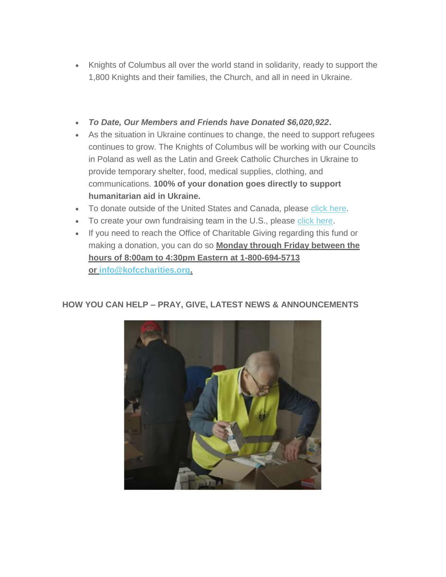- Knights of Columbus all over the world stand in solidarity, ready to support the 1,800 Knights and their families, the Church, and all in need in Ukraine.
- *To Date, Our Members and Friends have Donated \$6,020,922***.**
- As the situation in Ukraine continues to change, the need to support refugees continues to grow. The Knights of Columbus will be working with our Councils in Poland as well as the Latin and Greek Catholic Churches in Ukraine to provide temporary shelter, food, medical supplies, clothing, and communications. **100% of your donation goes directly to support humanitarian aid in Ukraine.**
- To donate outside of the United States and Canada, please [click here.](https://kofc6504.us11.list-manage.com/track/click?u=95aa9839393aff6e6ea6837aa&id=5f557c2d40&e=a2df17c07b)
- To create your own fundraising team in the U.S., please [click here.](https://kofc6504.us11.list-manage.com/track/click?u=95aa9839393aff6e6ea6837aa&id=c52eeb4b28&e=a2df17c07b)
- If you need to reach the Office of Charitable Giving regarding this fund or making a donation, you can do so **Monday through Friday between the hours of 8:00am to 4:30pm Eastern at 1-800-694-5713 or [info@kofccharities.org.](mailto:info@kofccharities.org)**

## **HOW YOU CAN HELP – PRAY, GIVE, LATEST NEWS & ANNOUNCEMENTS**

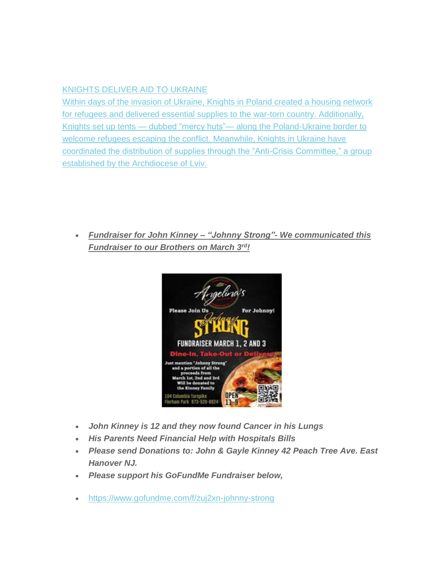#### [KNIGHTS DELIVER AID TO UKRAINE](https://kofc6504.us11.list-manage.com/track/click?u=95aa9839393aff6e6ea6837aa&id=832c1b1824&e=a2df17c07b)

[Within days of the invasion of Ukraine, Knights in Poland created a housing network](https://kofc6504.us11.list-manage.com/track/click?u=95aa9839393aff6e6ea6837aa&id=dab91bc070&e=a2df17c07b)  [for refugees and delivered essential supplies to the war-torn country. Additionally,](https://kofc6504.us11.list-manage.com/track/click?u=95aa9839393aff6e6ea6837aa&id=dab91bc070&e=a2df17c07b)  Knights set up tents — dubbed "mercy huts"— [along the Poland-Ukraine border to](https://kofc6504.us11.list-manage.com/track/click?u=95aa9839393aff6e6ea6837aa&id=dab91bc070&e=a2df17c07b)  [welcome refugees escaping the conflict. Meanwhile, Knights in Ukraine have](https://kofc6504.us11.list-manage.com/track/click?u=95aa9839393aff6e6ea6837aa&id=dab91bc070&e=a2df17c07b)  [coordinated the distribution of supplies through the "Anti-Crisis Committee," a group](https://kofc6504.us11.list-manage.com/track/click?u=95aa9839393aff6e6ea6837aa&id=dab91bc070&e=a2df17c07b)  [established by the Archdiocese of Lviv.](https://kofc6504.us11.list-manage.com/track/click?u=95aa9839393aff6e6ea6837aa&id=dab91bc070&e=a2df17c07b)

 *Fundraiser for John Kinney – "Johnny Strong"- We communicated this Fundraiser to our Brothers on March 3rd!*



- *John Kinney is 12 and they now found Cancer in his Lungs*
- *His Parents Need Financial Help with Hospitals Bills*
- *Please send Donations to: John & Gayle Kinney 42 Peach Tree Ave. East Hanover NJ.*
- *Please support his GoFundMe Fundraiser below,*
- <https://www.gofundme.com/f/zuj2xn-johnny-strong>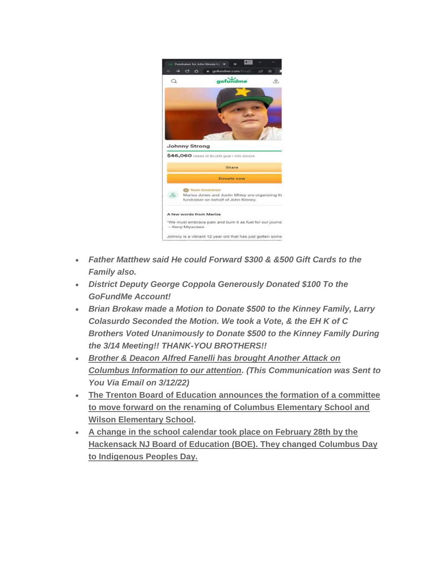

- *Father Matthew said He could Forward \$300 & &500 Gift Cards to the Family also.*
- *District Deputy George Coppola Generously Donated \$100 To the GoFundMe Account!*
- *Brian Brokaw made a Motion to Donate \$500 to the Kinney Family, Larry Colasurdo Seconded the Motion. We took a Vote, & the EH K of C Brothers Voted Unanimously to Donate \$500 to the Kinney Family During the 3/14 Meeting!! THANK-YOU BROTHERS!!*
- *Brother & Deacon Alfred Fanelli has brought Another Attack on Columbus Information to our attention. (This Communication was Sent to You Via Email on 3/12/22)*
- **The Trenton Board of Education announces the formation of a committee to move forward on the renaming of Columbus Elementary School and Wilson Elementary School.**
- **A change in the school calendar took place on February 28th by the Hackensack NJ Board of Education (BOE). They changed Columbus Day to Indigenous Peoples Day.**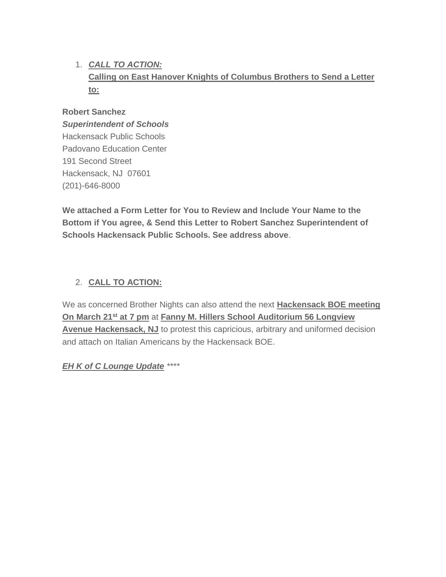# 1. *CALL TO ACTION:* **Calling on East Hanover Knights of Columbus Brothers to Send a Letter to:**

#### **Robert Sanchez**

#### *Superintendent of Schools*

Hackensack Public Schools Padovano Education Center 191 Second Street Hackensack, NJ 07601 (201)-646-8000

**We attached a Form Letter for You to Review and Include Your Name to the Bottom if You agree, & Send this Letter to Robert Sanchez Superintendent of Schools Hackensack Public Schools. See address above**.

#### 2. **CALL TO ACTION:**

We as concerned Brother Nights can also attend the next **Hackensack BOE meeting On March 21st at 7 pm** at **Fanny M. Hillers School Auditorium 56 Longview Avenue Hackensack, NJ** to protest this capricious, arbitrary and uniformed decision and attach on Italian Americans by the Hackensack BOE.

*EH K of C Lounge Update \*\*\*\**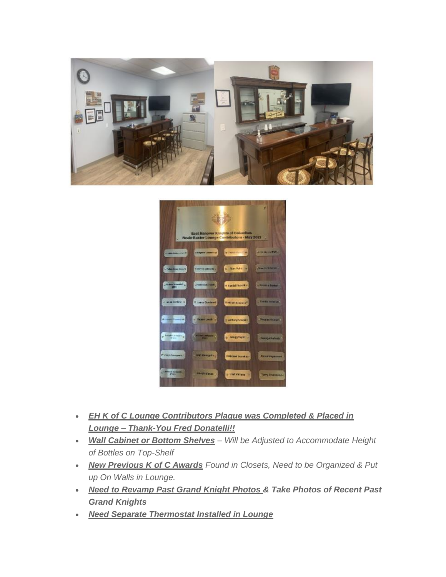



- *EH K of C Lounge Contributors Plaque was Completed & Placed in Lounge – Thank-You Fred Donatelli!!*
- *Wall Cabinet or Bottom Shelves – Will be Adjusted to Accommodate Height of Bottles on Top-Shelf*
- *New Previous K of C Awards Found in Closets, Need to be Organized & Put up On Walls in Lounge.*
- *Need to Revamp Past Grand Knight Photos & Take Photos of Recent Past Grand Knights*
- *Need Separate Thermostat Installed in Lounge*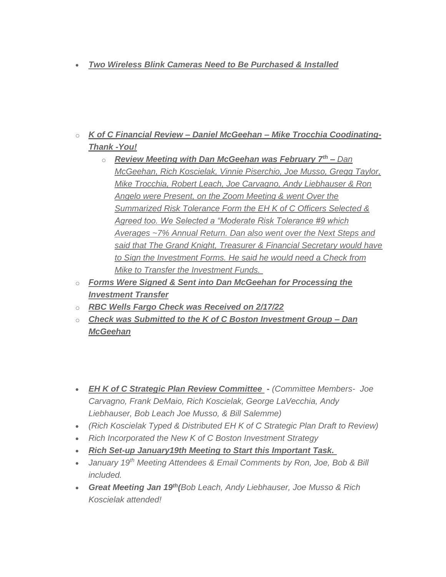#### *Two Wireless Blink Cameras Need to Be Purchased & Installed*

- o *K of C Financial Review – Daniel McGeehan – Mike Trocchia Coodinating-Thank -You!*
	- o *Review Meeting with Dan McGeehan was February 7th – Dan McGeehan, Rich Koscielak, Vinnie Piserchio, Joe Musso, Gregg Taylor, Mike Trocchia, Robert Leach, Joe Carvagno, Andy Liebhauser & Ron Angelo were Present, on the Zoom Meeting & went Over the Summarized Risk Tolerance Form the EH K of C Officers Selected & Agreed too. We Selected a "Moderate Risk Tolerance #9 which Averages ~7% Annual Return. Dan also went over the Next Steps and said that The Grand Knight, Treasurer & Financial Secretary would have to Sign the Investment Forms. He said he would need a Check from Mike to Transfer the Investment Funds.*
- o *Forms Were Signed & Sent into Dan McGeehan for Processing the Investment Transfer*
- o *RBC Wells Fargo Check was Received on 2/17/22*
- o *Check was Submitted to the K of C Boston Investment Group – Dan McGeehan*
- *EH K of C Strategic Plan Review Committee - (Committee Members- Joe Carvagno, Frank DeMaio, Rich Koscielak, George LaVecchia, Andy Liebhauser, Bob Leach Joe Musso, & Bill Salemme)*
- *(Rich Koscielak Typed & Distributed EH K of C Strategic Plan Draft to Review)*
- *Rich Incorporated the New K of C Boston Investment Strategy*
- *Rich Set-up January19th Meeting to Start this Important Task.*
- *January 19th Meeting Attendees & Email Comments by Ron, Joe, Bob & Bill included.*
- *Great Meeting Jan 19th(Bob Leach, Andy Liebhauser, Joe Musso & Rich Koscielak attended!*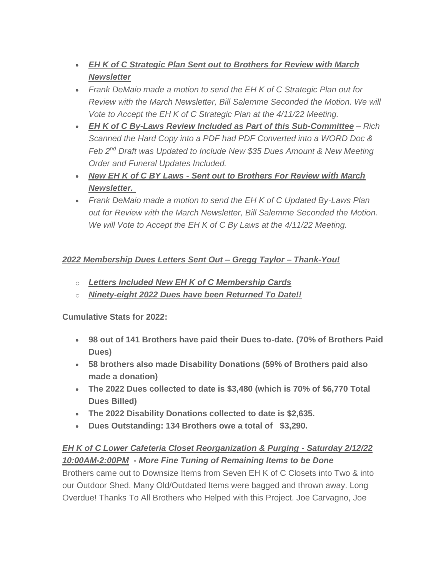- *EH K of C Strategic Plan Sent out to Brothers for Review with March Newsletter*
- *Frank DeMaio made a motion to send the EH K of C Strategic Plan out for Review with the March Newsletter, Bill Salemme Seconded the Motion. We will Vote to Accept the EH K of C Strategic Plan at the 4/11/22 Meeting.*
- *EH K of C By-Laws Review Included as Part of this Sub-Committee – Rich Scanned the Hard Copy into a PDF had PDF Converted into a WORD Doc & Feb 2nd Draft was Updated to Include New \$35 Dues Amount & New Meeting Order and Funeral Updates Included.*
- *New EH K of C BY Laws - Sent out to Brothers For Review with March Newsletter.*
- *Frank DeMaio made a motion to send the EH K of C Updated By-Laws Plan out for Review with the March Newsletter, Bill Salemme Seconded the Motion. We will Vote to Accept the EH K of C By Laws at the 4/11/22 Meeting.*

#### *2022 Membership Dues Letters Sent Out – Gregg Taylor – Thank-You!*

- o *Letters Included New EH K of C Membership Cards*
- o *Ninety-eight 2022 Dues have been Returned To Date!!*

**Cumulative Stats for 2022:**

- **98 out of 141 Brothers have paid their Dues to-date. (70% of Brothers Paid Dues)**
- **58 brothers also made Disability Donations (59% of Brothers paid also made a donation)**
- **The 2022 Dues collected to date is \$3,480 (which is 70% of \$6,770 Total Dues Billed)**
- **The 2022 Disability Donations collected to date is \$2,635.**
- **Dues Outstanding: 134 Brothers owe a total of \$3,290.**

## *EH K of C Lower Cafeteria Closet Reorganization & Purging - Saturday 2/12/22 10:00AM-2:00PM - More Fine Tuning of Remaining Items to be Done*

Brothers came out to Downsize Items from Seven EH K of C Closets into Two & into our Outdoor Shed. Many Old/Outdated Items were bagged and thrown away. Long Overdue! Thanks To All Brothers who Helped with this Project. Joe Carvagno, Joe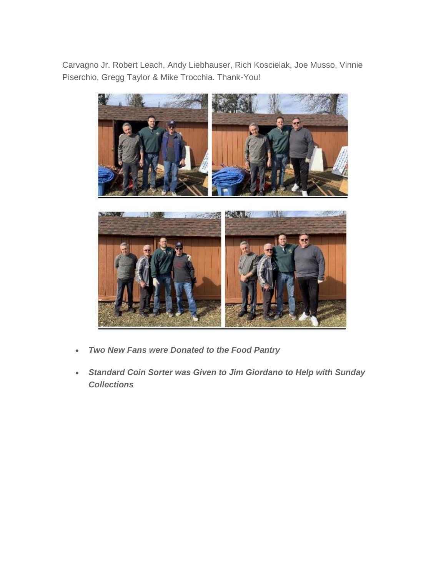Carvagno Jr. Robert Leach, Andy Liebhauser, Rich Koscielak, Joe Musso, Vinnie Piserchio, Gregg Taylor & Mike Trocchia. Thank-You!



- *Two New Fans were Donated to the Food Pantry*
- *Standard Coin Sorter was Given to Jim Giordano to Help with Sunday Collections*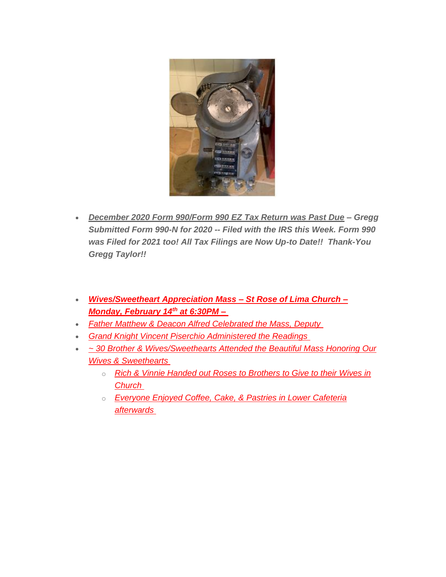

- *December 2020 Form 990/Form 990 EZ Tax Return was Past Due – Gregg Submitted Form 990-N for 2020 -- Filed with the IRS this Week. Form 990 was Filed for 2021 too! All Tax Filings are Now Up-to Date!! Thank-You Gregg Taylor!!*
- *Wives/Sweetheart Appreciation Mass – St Rose of Lima Church – Monday, February 14th at 6:30PM –*
- *Father Matthew & Deacon Alfred Celebrated the Mass, Deputy*
- *Grand Knight Vincent Piserchio Administered the Readings*
- *~ 30 Brother & Wives/Sweethearts Attended the Beautiful Mass Honoring Our Wives & Sweethearts*
	- o *Rich & Vinnie Handed out Roses to Brothers to Give to their Wives in Church*
	- o *Everyone Enjoyed Coffee, Cake, & Pastries in Lower Cafeteria afterwards*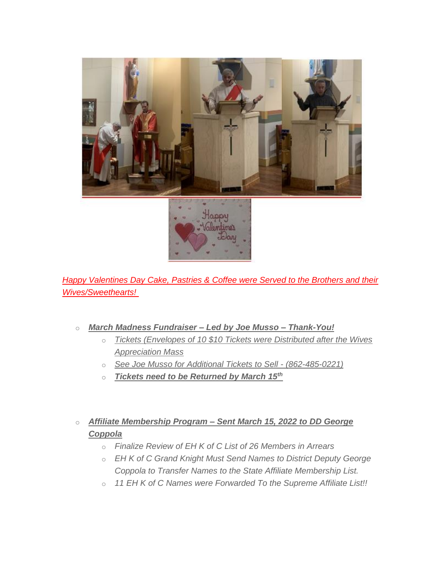

**Happy Valentines Day Cake, Pastries & Coffee were Served to the Brothers and their** *Wives/Sweethearts!*

- o *March Madness Fundraiser – Led by Joe Musso – Thank-You!*
	- o *Tickets (Envelopes of 10 \$10 Tickets were Distributed after the Wives Appreciation Mass*
	- o *See Joe Musso for Additional Tickets to Sell - (862-485-0221)*
	- o *Tickets need to be Returned by March 15th*
- o *Affiliate Membership Program – Sent March 15, 2022 to DD George Coppola*
	- o *Finalize Review of EH K of C List of 26 Members in Arrears*
	- o *EH K of C Grand Knight Must Send Names to District Deputy George Coppola to Transfer Names to the State Affiliate Membership List.*
	- o *11 EH K of C Names were Forwarded To the Supreme Affiliate List!!*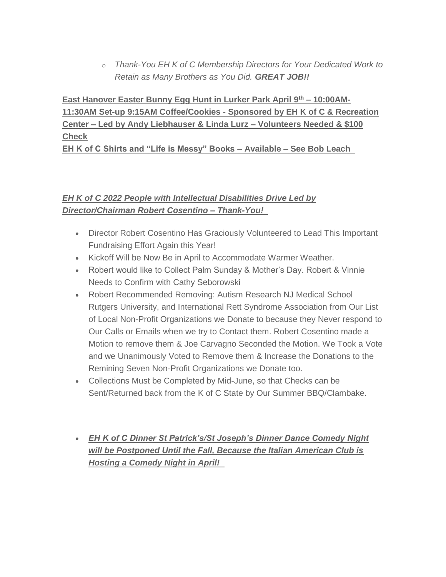o *Thank-You EH K of C Membership Directors for Your Dedicated Work to Retain as Many Brothers as You Did. GREAT JOB!!*

**East Hanover Easter Bunny Egg Hunt in Lurker Park April 9th – 10:00AM-11:30AM Set-up 9:15AM Coffee/Cookies - Sponsored by EH K of C & Recreation Center – Led by Andy Liebhauser & Linda Lurz – Volunteers Needed & \$100 Check**

**EH K of C Shirts and "Life is Messy" Books – Available – See Bob Leach** 

# *EH K of C 2022 People with Intellectual Disabilities Drive Led by Director/Chairman Robert Cosentino – Thank-You!*

- Director Robert Cosentino Has Graciously Volunteered to Lead This Important Fundraising Effort Again this Year!
- Kickoff Will be Now Be in April to Accommodate Warmer Weather.
- Robert would like to Collect Palm Sunday & Mother's Day. Robert & Vinnie Needs to Confirm with Cathy Seborowski
- Robert Recommended Removing: Autism Research NJ Medical School Rutgers University, and International Rett Syndrome Association from Our List of Local Non-Profit Organizations we Donate to because they Never respond to Our Calls or Emails when we try to Contact them. Robert Cosentino made a Motion to remove them & Joe Carvagno Seconded the Motion. We Took a Vote and we Unanimously Voted to Remove them & Increase the Donations to the Remining Seven Non-Profit Organizations we Donate too.
- Collections Must be Completed by Mid-June, so that Checks can be Sent/Returned back from the K of C State by Our Summer BBQ/Clambake.
- *EH K of C Dinner St Patrick's/St Joseph's Dinner Dance Comedy Night will be Postponed Until the Fall, Because the Italian American Club is Hosting a Comedy Night in April!*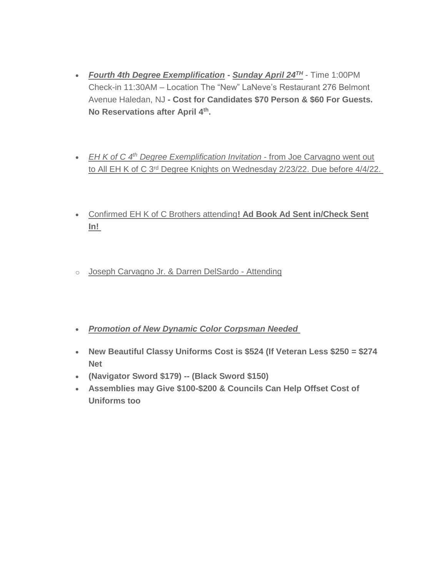- *Fourth 4th Degree Exemplification* **-** *Sunday April 24TH* Time 1:00PM Check-in 11:30AM – Location The "New" LaNeve's Restaurant 276 Belmont Avenue Haledan, NJ **- Cost for Candidates \$70 Person & \$60 For Guests. No Reservations after April 4th .**
- *EH K of C 4th Degree Exemplification Invitation* from Joe Carvagno went out to All EH K of C 3rd Degree Knights on Wednesday 2/23/22. Due before 4/4/22.
- Confirmed EH K of C Brothers attending**! Ad Book Ad Sent in/Check Sent In!**
- o Joseph Carvagno Jr. & Darren DelSardo Attending
- *Promotion of New Dynamic Color Corpsman Needed*
- **New Beautiful Classy Uniforms Cost is \$524 (If Veteran Less \$250 = \$274 Net**
- **(Navigator Sword \$179) -- (Black Sword \$150)**
- **Assemblies may Give \$100-\$200 & Councils Can Help Offset Cost of Uniforms too**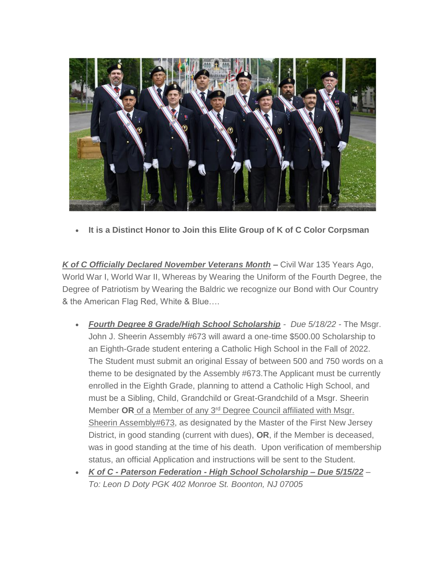

**It is a Distinct Honor to Join this Elite Group of K of C Color Corpsman**

*K of C Officially Declared November Veterans Month* **–** Civil War 135 Years Ago, World War I, World War II, Whereas by Wearing the Uniform of the Fourth Degree, the Degree of Patriotism by Wearing the Baldric we recognize our Bond with Our Country & the American Flag Red, White & Blue….

- *Fourth Degree 8 Grade/High School Scholarship Due 5/18/22 -* The Msgr. John J. Sheerin Assembly #673 will award a one-time \$500.00 Scholarship to an Eighth-Grade student entering a Catholic High School in the Fall of 2022. The Student must submit an original Essay of between 500 and 750 words on a theme to be designated by the Assembly #673.The Applicant must be currently enrolled in the Eighth Grade, planning to attend a Catholic High School, and must be a Sibling, Child, Grandchild or Great-Grandchild of a Msgr. Sheerin Member **OR** of a Member of any 3rd Degree Council affiliated with Msgr. Sheerin Assembly#673, as designated by the Master of the First New Jersey District, in good standing (current with dues), **OR**, if the Member is deceased, was in good standing at the time of his death. Upon verification of membership status, an official Application and instructions will be sent to the Student.
- *K of C - Paterson Federation - High School Scholarship – Due 5/15/22 – To: Leon D Doty PGK 402 Monroe St. Boonton, NJ 07005*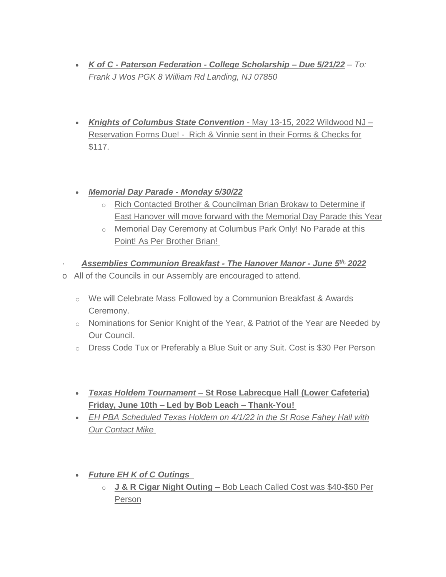- *K of C - Paterson Federation - College Scholarship – Due 5/21/22 – To: Frank J Wos PGK 8 William Rd Landing, NJ 07850*
- *Knights of Columbus State Convention* May 13-15, 2022 Wildwood NJ Reservation Forms Due! - Rich & Vinnie sent in their Forms & Checks for \$117.

#### *Memorial Day Parade - Monday 5/30/22*

- o Rich Contacted Brother & Councilman Brian Brokaw to Determine if East Hanover will move forward with the Memorial Day Parade this Year
- o Memorial Day Ceremony at Columbus Park Only! No Parade at this Point! As Per Brother Brian!
- · *Assemblies Communion Breakfast - The Hanover Manor - June 5th, 2022*
- o All of the Councils in our Assembly are encouraged to attend.
	- o We will Celebrate Mass Followed by a Communion Breakfast & Awards Ceremony.
	- $\circ$  Nominations for Senior Knight of the Year, & Patriot of the Year are Needed by Our Council.
	- o Dress Code Tux or Preferably a Blue Suit or any Suit. Cost is \$30 Per Person
	- *Texas Holdem Tournament* **– St Rose Labrecque Hall (Lower Cafeteria) Friday, June 10th – Led by Bob Leach – Thank-You!**
	- *EH PBA Scheduled Texas Holdem on 4/1/22 in the St Rose Fahey Hall with Our Contact Mike*
	- *Future EH K of C Outings* 
		- o **J & R Cigar Night Outing –** Bob Leach Called Cost was \$40-\$50 Per Person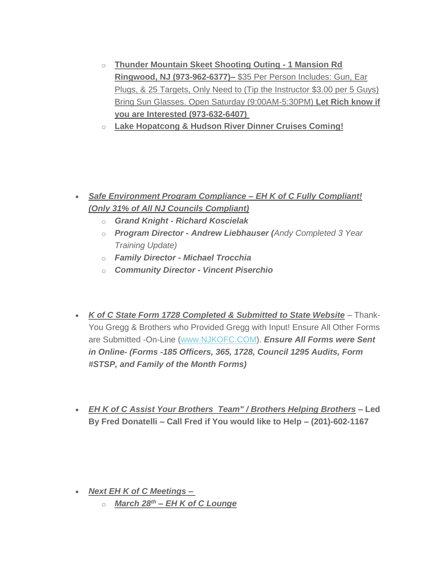- o **Thunder Mountain Skeet Shooting Outing - 1 Mansion Rd Ringwood, NJ (973-962-6377)–** \$35 Per Person Includes: Gun, Ear Plugs, & 25 Targets, Only Need to (Tip the Instructor \$3.00 per 5 Guys) Bring Sun Glasses. Open Saturday (9:00AM-5:30PM) **Let Rich know if you are Interested (973-632-6407)**
- o **Lake Hopatcong & Hudson River Dinner Cruises Coming!**

- *Safe Environment Program Compliance – EH K of C Fully Compliant! (Only 31% of All NJ Councils Compliant)*
	- o *Grand Knight - Richard Koscielak*
	- o *Program Director - Andrew Liebhauser (Andy Completed 3 Year Training Update)*
	- o *Family Director - Michael Trocchia*
	- o *Community Director - Vincent Piserchio*
- *K of C State Form 1728 Completed & Submitted to State Website* Thank-You Gregg & Brothers who Provided Gregg with Input! Ensure All Other Forms are Submitted -On-Line [\(www.NJKOFC.COM\)](https://kofc6504.us11.list-manage.com/track/click?u=95aa9839393aff6e6ea6837aa&id=830e2e94bb&e=a2df17c07b). *Ensure All Forms were Sent in Online- (Forms -185 Officers, 365, 1728, Council 1295 Audits, Form #STSP, and Family of the Month Forms)*
- *EH K of C Assist Your Brothers Team" / Brothers Helping Brothers* **– Led By Fred Donatelli – Call Fred if You would like to Help – (201)-602-1167**

- *Next EH K of C Meetings –*
	- o *March 28th – EH K of C Lounge*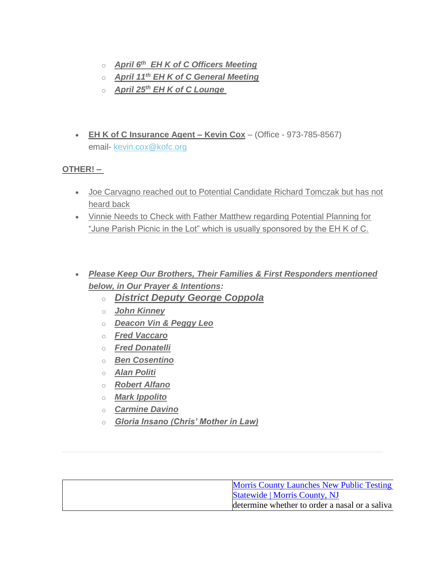- o *April 6th EH K of C Officers Meeting*
- o *April 11th EH K of C General Meeting*
- o *April 25th EH K of C Lounge*
- **EH K of C Insurance Agent – Kevin Cox** (Office 973-785-8567) email- [kevin.cox@kofc.org](mailto:kevin.cox@kofc.org)

#### **OTHER! –**

- Joe Carvagno reached out to Potential Candidate Richard Tomczak but has not heard back
- Vinnie Needs to Check with Father Matthew regarding Potential Planning for "June Parish Picnic in the Lot" which is usually sponsored by the EH K of C.
- *Please Keep Our Brothers, Their Families & First Responders mentioned below, in Our Prayer & Intentions:*
	- o *District Deputy George Coppola*
	- o *John Kinney*
	- o *Deacon Vin & Peggy Leo*
	- o *Fred Vaccaro*
	- o *Fred Donatelli*
	- o *Ben Cosentino*
	- o *Alan Politi*
	- o *Robert Alfano*
	- o *Mark Ippolito*
	- o *Carmine Davino*
	- o *Gloria Insano (Chris' Mother in Law)*

|  | <b>Morris County Launches New Public Testing</b> |
|--|--------------------------------------------------|
|  | <b>Statewide</b>   Morris County, NJ             |
|  | determine whether to order a nasal or a saliva   |